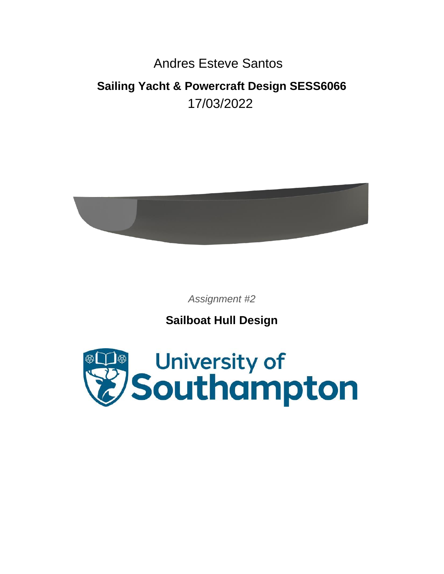# Andres Esteve Santos

# **Sailing Yacht & Powercraft Design SESS6066** 17/03/2022



*Assignment #2*

**Sailboat Hull Design**

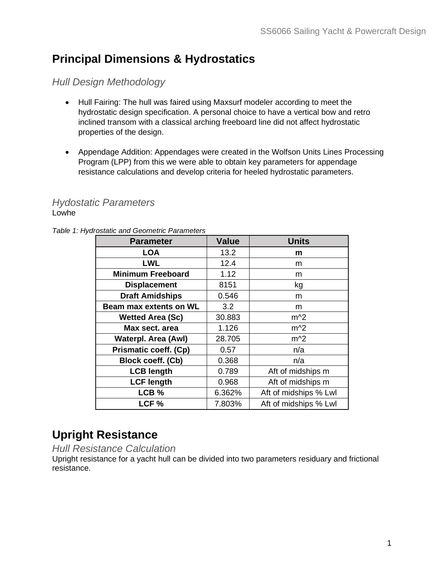# **Principal Dimensions & Hydrostatics**

# *Hull Design Methodology*

- Hull Fairing: The hull was faired using Maxsurf modeler according to meet the hydrostatic design specification. A personal choice to have a vertical bow and retro inclined transom with a classical arching freeboard line did not affect hydrostatic properties of the design.
- Appendage Addition: Appendages were created in the Wolfson Units Lines Processing Program (LPP) from this we were able to obtain key parameters for appendage resistance calculations and develop criteria for heeled hydrostatic parameters.

### *Hydostatic Parameters*  Lowhe

*Table 1: Hydrostatic and Geometric Parameters*

| <b>Parameter</b>             | <b>Value</b> | <b>Units</b>          |
|------------------------------|--------------|-----------------------|
| <b>LOA</b>                   | 13.2         | m                     |
| <b>LWL</b>                   | 12.4         | m                     |
| <b>Minimum Freeboard</b>     | 1.12         | m                     |
| <b>Displacement</b>          | 8151         | kg                    |
| <b>Draft Amidships</b>       | 0.546        | m                     |
| Beam max extents on WL       | 3.2          | m                     |
| <b>Wetted Area (Sc)</b>      | 30.883       | $m^2$                 |
| Max sect, area               | 1.126        | $m^2$                 |
| <b>Waterpl. Area (Awl)</b>   | 28.705       | $m^2$                 |
| <b>Prismatic coeff. (Cp)</b> | 0.57         | n/a                   |
| Block coeff. (Cb)            | 0.368        | n/a                   |
| <b>LCB length</b>            | 0.789        | Aft of midships m     |
| <b>LCF length</b>            | 0.968        | Aft of midships m     |
| LCB %                        | 6.362%       | Aft of midships % Lwl |
| LCF <sub>%</sub>             | 7.803%       | Aft of midships % Lwl |

# **Upright Resistance**

### *Hull Resistance Calculation*

Upright resistance for a yacht hull can be divided into two parameters residuary and frictional resistance.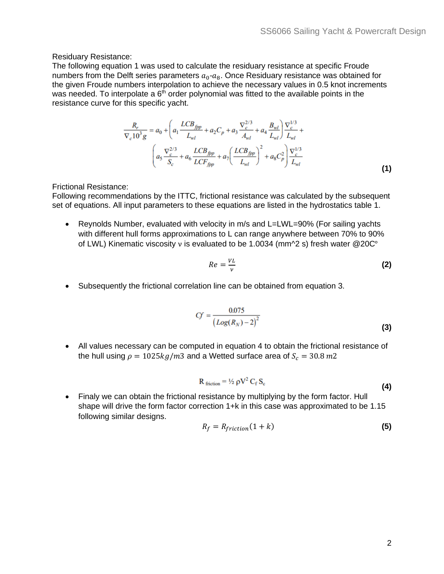#### Residuary Resistance:

The following equation 1 was used to calculate the residuary resistance at specific Froude numbers from the Delft series parameters  $a_0$ - $a_8$ . Once Residuary resistance was obtained for the given Froude numbers interpolation to achieve the necessary values in 0.5 knot increments was needed. To interpolate a  $6<sup>th</sup>$  order polynomial was fitted to the available points in the resistance curve for this specific yacht.

$$
\frac{R_r}{\nabla_c 10^3 g} = a_0 + \left( a_1 \frac{LCB_{fpp}}{L_{wl}} + a_2 C_p + a_3 \frac{\nabla_c^{2/3}}{A_{wl}} + a_4 \frac{B_{wl}}{L_{wl}} \right) \frac{\nabla_c^{1/3}}{L_{wl}} + \frac{1}{2} \left( a_5 \frac{\nabla_c^{2/3}}{S_c} + a_6 \frac{LCB_{fpp}}{LCF_{fpp}} + a_7 \left( \frac{LCB_{fpp}}{L_{wl}} \right)^2 + a_8 C_p^2 \right) \frac{\nabla_c^{1/3}}{L_{wl}}
$$
\n(1)

Frictional Resistance:

Following recommendations by the ITTC, frictional resistance was calculated by the subsequent set of equations. All input parameters to these equations are listed in the hydrostatics table 1.

• Reynolds Number, evaluated with velocity in m/s and L=LWL=90% (For sailing yachts with different hull forms approximations to L can range anywhere between 70% to 90% of LWL) Kinematic viscosity ν is evaluated to be 1.0034 (mm^2 s) fresh water @20C°

$$
Re = \frac{VL}{\nu} \tag{2}
$$

• Subsequently the frictional correlation line can be obtained from equation 3.

$$
Cf = \frac{0.075}{(Log(R_N) - 2)^2}
$$
 (3)

• All values necessary can be computed in equation 4 to obtain the frictional resistance of the hull using  $\rho = 1025kg/m3$  and a Wetted surface area of  $S_c = 30.8 m2$ 

$$
R_{\text{ friction}} = \frac{1}{2} \rho V^2 C_f S_c
$$
 (4)

• Finaly we can obtain the frictional resistance by multiplying by the form factor. Hull shape will drive the form factor correction 1+k in this case was approximated to be 1.15 following similar designs.

$$
R_f = R_{friction}(1 + k)
$$
 (5)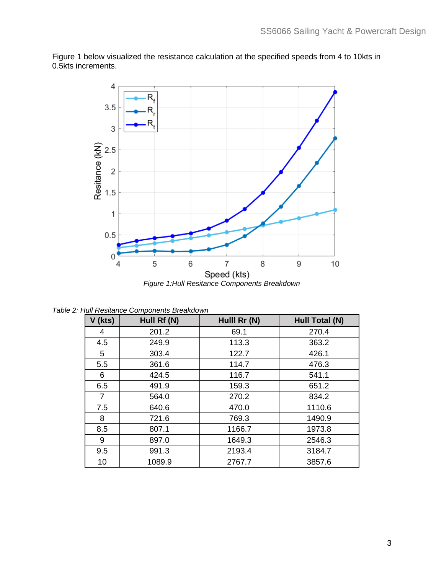

Figure 1 below visualized the resistance calculation at the specified speeds from 4 to 10kts in 0.5kts increments.

*Table 2: Hull Resitance Components Breakdown*

| V (kts)        | Hull Rf (N) | Hulll Rr (N) | Hull Total (N) |
|----------------|-------------|--------------|----------------|
| 4              | 201.2       | 69.1         | 270.4          |
| 4.5            | 249.9       | 113.3        | 363.2          |
| 5              | 303.4       | 122.7        | 426.1          |
| 5.5            | 361.6       | 114.7        | 476.3          |
| 6              | 424.5       | 116.7        | 541.1          |
| 6.5            | 491.9       | 159.3        | 651.2          |
| $\overline{7}$ | 564.0       | 270.2        | 834.2          |
| 7.5            | 640.6       | 470.0        | 1110.6         |
| 8              | 721.6       | 769.3        | 1490.9         |
| 8.5            | 807.1       | 1166.7       | 1973.8         |
| 9              | 897.0       | 1649.3       | 2546.3         |
| 9.5            | 991.3       | 2193.4       | 3184.7         |
| 10             | 1089.9      | 2767.7       | 3857.6         |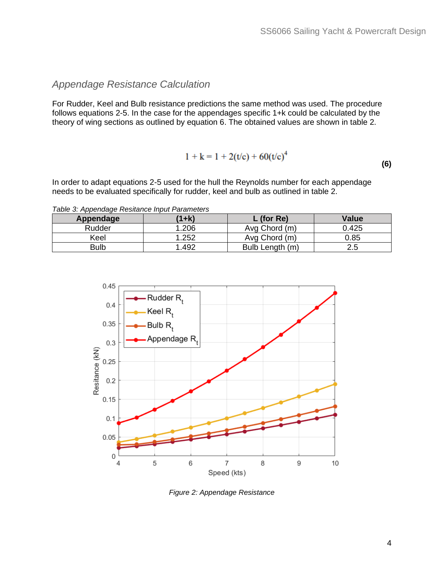## *Appendage Resistance Calculation*

For Rudder, Keel and Bulb resistance predictions the same method was used. The procedure follows equations 2-5. In the case for the appendages specific 1+k could be calculated by the theory of wing sections as outlined by equation 6. The obtained values are shown in table 2.

$$
1 + k = 1 + 2(t/c) + 60(t/c)^4
$$
 (6)

In order to adapt equations 2-5 used for the hull the Reynolds number for each appendage needs to be evaluated specifically for rudder, keel and bulb as outlined in table 2.

*Table 3: Appendage Resitance Input Parameters*

| Appendage   | $(1+k)$ | $L$ (for Re)    | <b>Value</b> |
|-------------|---------|-----------------|--------------|
| Rudder      | 1.206   | Avg Chord (m)   | 0.425        |
| Keel        | 1.252   | Avg Chord (m)   | 0.85         |
| <b>Bulb</b> | .492    | Bulb Length (m) | 2.5          |



*Figure 2: Appendage Resistance*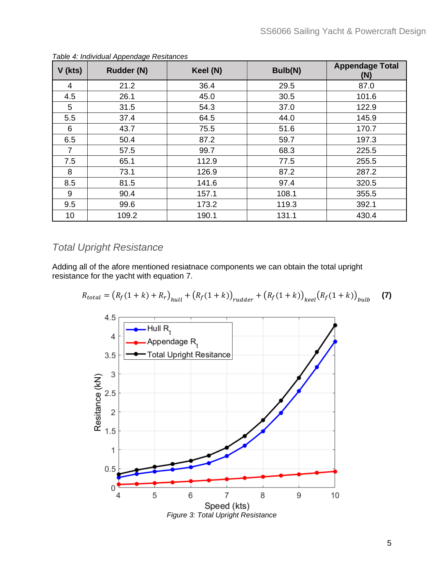| $V$ (kts) | abio <i>n</i> mannadar rippondago ricollanece<br>Rudder (N) | Keel (N) | Bulb(N) | <b>Appendage Total</b><br>(N) |
|-----------|-------------------------------------------------------------|----------|---------|-------------------------------|
| 4         | 21.2                                                        | 36.4     | 29.5    | 87.0                          |
| 4.5       | 26.1                                                        | 45.0     | 30.5    | 101.6                         |
| 5         | 31.5                                                        | 54.3     | 37.0    | 122.9                         |
| 5.5       | 37.4                                                        | 64.5     | 44.0    | 145.9                         |
| 6         | 43.7                                                        | 75.5     | 51.6    | 170.7                         |
| 6.5       | 50.4                                                        | 87.2     | 59.7    | 197.3                         |
| 7         | 57.5                                                        | 99.7     | 68.3    | 225.5                         |
| 7.5       | 65.1                                                        | 112.9    | 77.5    | 255.5                         |
| 8         | 73.1                                                        | 126.9    | 87.2    | 287.2                         |
| 8.5       | 81.5                                                        | 141.6    | 97.4    | 320.5                         |
| 9         | 90.4                                                        | 157.1    | 108.1   | 355.5                         |
| 9.5       | 99.6                                                        | 173.2    | 119.3   | 392.1                         |
| 10        | 109.2                                                       | 190.1    | 131.1   | 430.4                         |

*Table 4: Individual Appendage Resitances*

## *Total Upright Resistance*

Adding all of the afore mentioned resiatnace components we can obtain the total upright resistance for the yacht with equation 7.

$$
R_{total} = (R_f(1+k) + R_r)_{null} + (R_f(1+k))_{rudder} + (R_f(1+k))_{keel}(R_f(1+k))_{hulb}
$$
 (7)